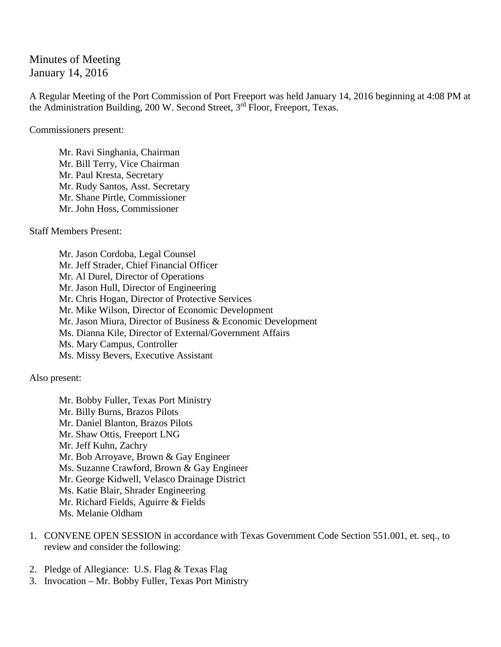Minutes of Meeting January 14, 2016

A Regular Meeting of the Port Commission of Port Freeport was held January 14, 2016 beginning at 4:08 PM at the Administration Building, 200 W. Second Street, 3rd Floor, Freeport, Texas.

Commissioners present:

Mr. Ravi Singhania, Chairman Mr. Bill Terry, Vice Chairman Mr. Paul Kresta, Secretary Mr. Rudy Santos, Asst. Secretary Mr. Shane Pirtle, Commissioner Mr. John Hoss, Commissioner

Staff Members Present:

Mr. Jason Cordoba, Legal Counsel Mr. Jeff Strader, Chief Financial Officer Mr. Al Durel, Director of Operations Mr. Jason Hull, Director of Engineering Mr. Chris Hogan, Director of Protective Services Mr. Mike Wilson, Director of Economic Development Mr. Jason Miura, Director of Business & Economic Development Ms. Dianna Kile, Director of External/Government Affairs Ms. Mary Campus, Controller Ms. Missy Bevers, Executive Assistant

Also present:

Mr. Bobby Fuller, Texas Port Ministry Mr. Billy Burns, Brazos Pilots Mr. Daniel Blanton, Brazos Pilots Mr. Shaw Ottis, Freeport LNG Mr. Jeff Kuhn, Zachry Mr. Bob Arroyave, Brown & Gay Engineer Ms. Suzanne Crawford, Brown & Gay Engineer Mr. George Kidwell, Velasco Drainage District Ms. Katie Blair, Shrader Engineering Mr. Richard Fields, Aguirre & Fields Ms. Melanie Oldham

- 1. CONVENE OPEN SESSION in accordance with Texas Government Code Section 551.001, et. seq., to review and consider the following:
- 2. Pledge of Allegiance: U.S. Flag & Texas Flag
- 3. Invocation Mr. Bobby Fuller, Texas Port Ministry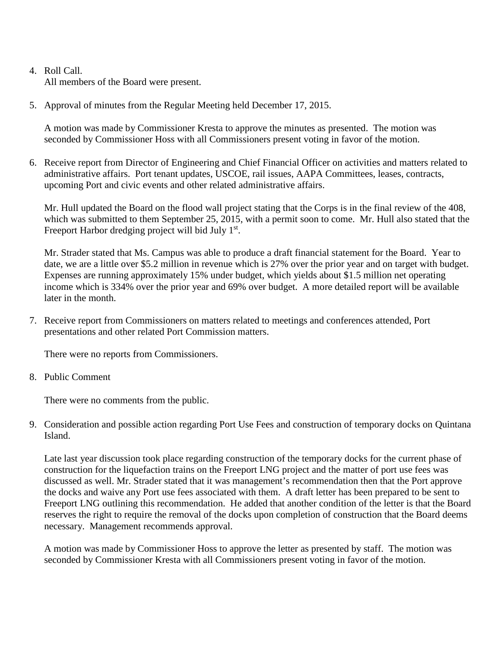## 4. Roll Call. All members of the Board were present.

5. Approval of minutes from the Regular Meeting held December 17, 2015.

A motion was made by Commissioner Kresta to approve the minutes as presented. The motion was seconded by Commissioner Hoss with all Commissioners present voting in favor of the motion.

6. Receive report from Director of Engineering and Chief Financial Officer on activities and matters related to administrative affairs. Port tenant updates, USCOE, rail issues, AAPA Committees, leases, contracts, upcoming Port and civic events and other related administrative affairs.

Mr. Hull updated the Board on the flood wall project stating that the Corps is in the final review of the 408, which was submitted to them September 25, 2015, with a permit soon to come. Mr. Hull also stated that the Freeport Harbor dredging project will bid July 1<sup>st</sup>.

Mr. Strader stated that Ms. Campus was able to produce a draft financial statement for the Board. Year to date, we are a little over \$5.2 million in revenue which is 27% over the prior year and on target with budget. Expenses are running approximately 15% under budget, which yields about \$1.5 million net operating income which is 334% over the prior year and 69% over budget. A more detailed report will be available later in the month.

7. Receive report from Commissioners on matters related to meetings and conferences attended, Port presentations and other related Port Commission matters.

There were no reports from Commissioners.

8. Public Comment

There were no comments from the public.

9. Consideration and possible action regarding Port Use Fees and construction of temporary docks on Quintana Island.

Late last year discussion took place regarding construction of the temporary docks for the current phase of construction for the liquefaction trains on the Freeport LNG project and the matter of port use fees was discussed as well. Mr. Strader stated that it was management's recommendation then that the Port approve the docks and waive any Port use fees associated with them. A draft letter has been prepared to be sent to Freeport LNG outlining this recommendation. He added that another condition of the letter is that the Board reserves the right to require the removal of the docks upon completion of construction that the Board deems necessary. Management recommends approval.

A motion was made by Commissioner Hoss to approve the letter as presented by staff. The motion was seconded by Commissioner Kresta with all Commissioners present voting in favor of the motion.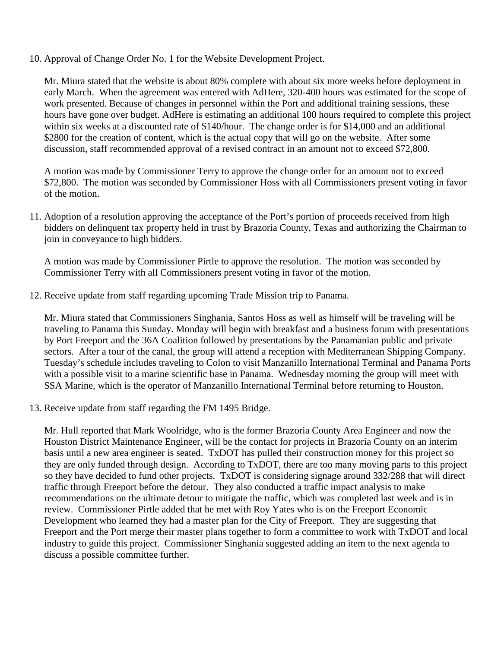10. Approval of Change Order No. 1 for the Website Development Project.

Mr. Miura stated that the website is about 80% complete with about six more weeks before deployment in early March. When the agreement was entered with AdHere, 320-400 hours was estimated for the scope of work presented. Because of changes in personnel within the Port and additional training sessions, these hours have gone over budget. AdHere is estimating an additional 100 hours required to complete this project within six weeks at a discounted rate of \$140/hour. The change order is for \$14,000 and an additional \$2800 for the creation of content, which is the actual copy that will go on the website. After some discussion, staff recommended approval of a revised contract in an amount not to exceed \$72,800.

A motion was made by Commissioner Terry to approve the change order for an amount not to exceed \$72,800. The motion was seconded by Commissioner Hoss with all Commissioners present voting in favor of the motion.

11. Adoption of a resolution approving the acceptance of the Port's portion of proceeds received from high bidders on delinquent tax property held in trust by Brazoria County, Texas and authorizing the Chairman to join in conveyance to high bidders.

A motion was made by Commissioner Pirtle to approve the resolution. The motion was seconded by Commissioner Terry with all Commissioners present voting in favor of the motion.

12. Receive update from staff regarding upcoming Trade Mission trip to Panama.

Mr. Miura stated that Commissioners Singhania, Santos Hoss as well as himself will be traveling will be traveling to Panama this Sunday. Monday will begin with breakfast and a business forum with presentations by Port Freeport and the 36A Coalition followed by presentations by the Panamanian public and private sectors. After a tour of the canal, the group will attend a reception with Mediterranean Shipping Company. Tuesday's schedule includes traveling to Colon to visit Manzanillo International Terminal and Panama Ports with a possible visit to a marine scientific base in Panama. Wednesday morning the group will meet with SSA Marine, which is the operator of Manzanillo International Terminal before returning to Houston.

13. Receive update from staff regarding the FM 1495 Bridge.

Mr. Hull reported that Mark Woolridge, who is the former Brazoria County Area Engineer and now the Houston District Maintenance Engineer, will be the contact for projects in Brazoria County on an interim basis until a new area engineer is seated. TxDOT has pulled their construction money for this project so they are only funded through design. According to TxDOT, there are too many moving parts to this project so they have decided to fund other projects. TxDOT is considering signage around 332/288 that will direct traffic through Freeport before the detour. They also conducted a traffic impact analysis to make recommendations on the ultimate detour to mitigate the traffic, which was completed last week and is in review. Commissioner Pirtle added that he met with Roy Yates who is on the Freeport Economic Development who learned they had a master plan for the City of Freeport. They are suggesting that Freeport and the Port merge their master plans together to form a committee to work with TxDOT and local industry to guide this project. Commissioner Singhania suggested adding an item to the next agenda to discuss a possible committee further.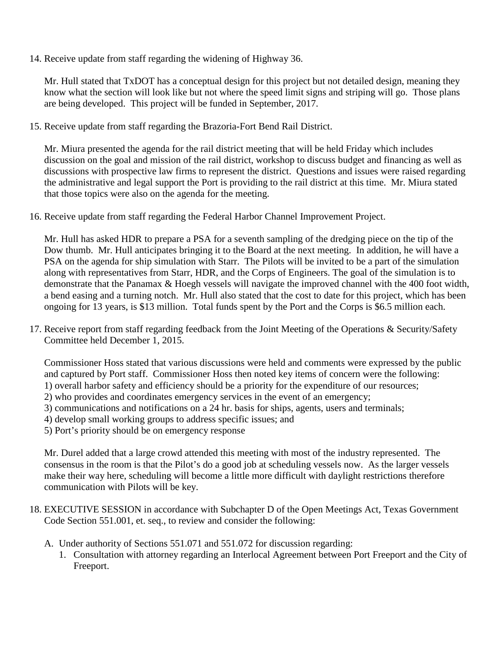14. Receive update from staff regarding the widening of Highway 36.

Mr. Hull stated that TxDOT has a conceptual design for this project but not detailed design, meaning they know what the section will look like but not where the speed limit signs and striping will go. Those plans are being developed. This project will be funded in September, 2017.

15. Receive update from staff regarding the Brazoria-Fort Bend Rail District.

Mr. Miura presented the agenda for the rail district meeting that will be held Friday which includes discussion on the goal and mission of the rail district, workshop to discuss budget and financing as well as discussions with prospective law firms to represent the district. Questions and issues were raised regarding the administrative and legal support the Port is providing to the rail district at this time. Mr. Miura stated that those topics were also on the agenda for the meeting.

16. Receive update from staff regarding the Federal Harbor Channel Improvement Project.

Mr. Hull has asked HDR to prepare a PSA for a seventh sampling of the dredging piece on the tip of the Dow thumb. Mr. Hull anticipates bringing it to the Board at the next meeting. In addition, he will have a PSA on the agenda for ship simulation with Starr. The Pilots will be invited to be a part of the simulation along with representatives from Starr, HDR, and the Corps of Engineers. The goal of the simulation is to demonstrate that the Panamax & Hoegh vessels will navigate the improved channel with the 400 foot width, a bend easing and a turning notch. Mr. Hull also stated that the cost to date for this project, which has been ongoing for 13 years, is \$13 million. Total funds spent by the Port and the Corps is \$6.5 million each.

17. Receive report from staff regarding feedback from the Joint Meeting of the Operations & Security/Safety Committee held December 1, 2015.

Commissioner Hoss stated that various discussions were held and comments were expressed by the public and captured by Port staff. Commissioner Hoss then noted key items of concern were the following: 1) overall harbor safety and efficiency should be a priority for the expenditure of our resources;

- 2) who provides and coordinates emergency services in the event of an emergency;
- 3) communications and notifications on a 24 hr. basis for ships, agents, users and terminals;
- 4) develop small working groups to address specific issues; and
- 5) Port's priority should be on emergency response

Mr. Durel added that a large crowd attended this meeting with most of the industry represented. The consensus in the room is that the Pilot's do a good job at scheduling vessels now. As the larger vessels make their way here, scheduling will become a little more difficult with daylight restrictions therefore communication with Pilots will be key.

- 18. EXECUTIVE SESSION in accordance with Subchapter D of the Open Meetings Act, Texas Government Code Section 551.001, et. seq., to review and consider the following:
	- A. Under authority of Sections 551.071 and 551.072 for discussion regarding:
		- 1. Consultation with attorney regarding an Interlocal Agreement between Port Freeport and the City of Freeport.